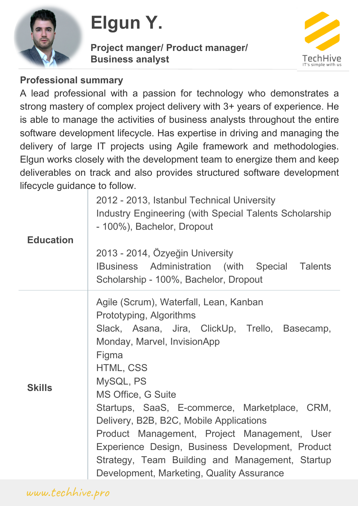

# **Elgun Y.**

**Project manger/ Product manager/ Business analyst**



#### **Professional summary**

A lead professional with a passion for technology who demonstrates a strong mastery of complex project delivery with 3+ years of experience. He is able to manage the activities of business analysts throughout the entire software development lifecycle. Has expertise in driving and managing the delivery of large IT projects using Agile framework and methodologies. Elgun works closely with the development team to energize them and keep deliverables on track and also provides structured software development lifecycle guidance to follow.

| <b>Education</b> | 2012 - 2013, Istanbul Technical University<br>Industry Engineering (with Special Talents Scholarship<br>- 100%), Bachelor, Dropout<br>2013 - 2014, Özyeğin University<br>IBusiness Administration (with Special Talents<br>Scholarship - 100%, Bachelor, Dropout                                                                                                                                                                                                                                                   |
|------------------|--------------------------------------------------------------------------------------------------------------------------------------------------------------------------------------------------------------------------------------------------------------------------------------------------------------------------------------------------------------------------------------------------------------------------------------------------------------------------------------------------------------------|
| <b>Skills</b>    | Agile (Scrum), Waterfall, Lean, Kanban<br>Prototyping, Algorithms<br>Slack, Asana, Jira, ClickUp, Trello, Basecamp,<br>Monday, Marvel, InvisionApp<br>Figma<br>HTML, CSS<br>MySQL, PS<br><b>MS Office, G Suite</b><br>Startups, SaaS, E-commerce, Marketplace, CRM,<br>Delivery, B2B, B2C, Mobile Applications<br>Product Management, Project Management, User<br>Experience Design, Business Development, Product<br>Strategy, Team Building and Management, Startup<br>Development, Marketing, Quality Assurance |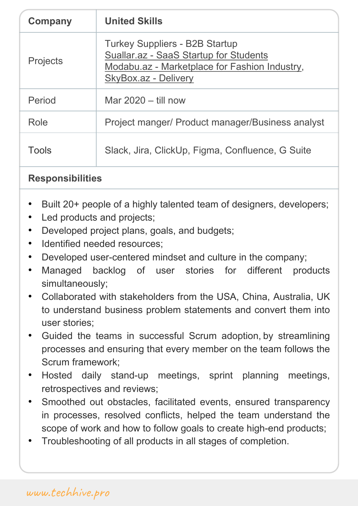| <b>Projects</b> | <b>Turkey Suppliers - B2B Startup</b><br>Suallar.az - SaaS Startup for Students<br>Modabu.az - Marketplace for Fashion Industry,<br>SkyBox.az - Delivery |
|-----------------|----------------------------------------------------------------------------------------------------------------------------------------------------------|
| Period          | Mar $2020 - \text{ till now}$                                                                                                                            |
| Role            | Project manger/ Product manager/Business analyst                                                                                                         |
| Tools           | Slack, Jira, ClickUp, Figma, Confluence, G Suite                                                                                                         |

### **Responsibilities**

- Built 20+ people of a highly talented team of designers, developers;
- Led products and projects;
- Developed project plans, goals, and budgets;
- Identified needed resources:
- Developed user-centered mindset and culture in the company;
- Managed backlog of user stories for different products simultaneously;
- Collaborated with stakeholders from the USA, China, Australia, UK to understand business problem statements and convert them into user stories;
- Guided the teams in successful Scrum adoption, by streamlining processes and ensuring that every member on the team follows the Scrum framework;
- Hosted daily stand-up meetings, sprint planning meetings, retrospectives and reviews;
- Smoothed out obstacles, facilitated events, ensured transparency in processes, resolved conflicts, helped the team understand the scope of work and how to follow goals to create high-end products;
- Troubleshooting of all products in all stages of completion.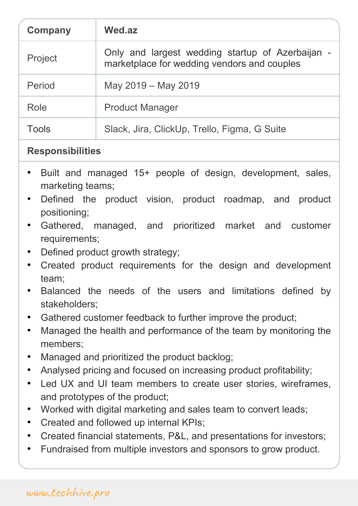| UUIIIpail | vveu.az                                                                                         |
|-----------|-------------------------------------------------------------------------------------------------|
| Project   | Only and largest wedding startup of Azerbaijan -<br>marketplace for wedding vendors and couples |
| Period    | May 2019 - May 2019                                                                             |
| Role      | <b>Product Manager</b>                                                                          |
| Tools     | Slack, Jira, ClickUp, Trello, Figma, G Suite                                                    |

### **Responsibilities**

- Built and managed 15+ people of design, development, sales, marketing teams;
- Defined the product vision, product roadmap, and product positioning;
- Gathered, managed, and prioritized market and customer requirements;
- Defined product growth strategy;
- Created product requirements for the design and development team;
- Balanced the needs of the users and limitations defined by stakeholders;
- Gathered customer feedback to further improve the product;
- Managed the health and performance of the team by monitoring the members;
- Managed and prioritized the product backlog;
- Analysed pricing and focused on increasing product profitability;
- Led UX and UI team members to create user stories, wireframes, and prototypes of the product;
- Worked with digital marketing and sales team to convert leads;
- Created and followed up internal KPIs;
- Created financial statements, P&L, and presentations for investors;
- Fundraised from multiple investors and sponsors to grow product.